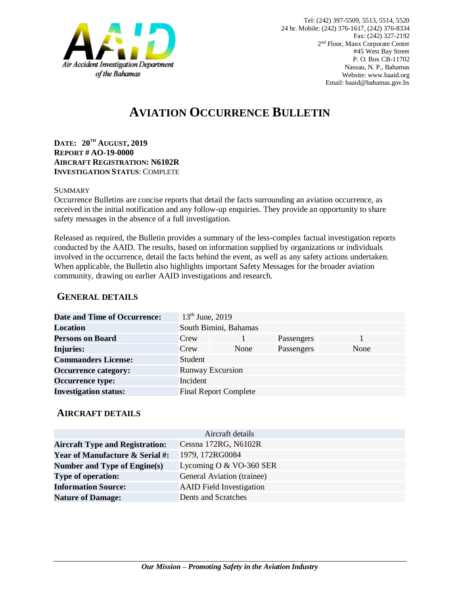

# **AVIATION OCCURRENCE BULLETIN**

**DATE: 20TH AUGUST, 2019 REPORT # AO-19-0000 AIRCRAFT REGISTRATION: N6102R INVESTIGATION STATUS**: COMPLETE

#### SUMMARY

Occurrence Bulletins are concise reports that detail the facts surrounding an aviation occurrence, as received in the initial notification and any follow-up enquiries. They provide an opportunity to share safety messages in the absence of a full investigation*.*

Released as required, the Bulletin provides a summary of the less-complex factual investigation reports conducted by the AAID. The results, based on information supplied by organizations or individuals involved in the occurrence, detail the facts behind the event, as well as any safety actions undertaken. When applicable, the Bulletin also highlights important Safety Messages for the broader aviation community, drawing on earlier AAID investigations and research.

### **GENERAL DETAILS**

| <b>Date and Time of Occurrence:</b> | $13th$ June, 2019     |                              |            |      |
|-------------------------------------|-----------------------|------------------------------|------------|------|
| <b>Location</b>                     | South Bimini, Bahamas |                              |            |      |
| <b>Persons on Board</b>             | Crew                  |                              | Passengers |      |
| <b>Injuries:</b>                    | Crew                  | None                         | Passengers | None |
| <b>Commanders License:</b>          | Student               |                              |            |      |
| <b>Occurrence category:</b>         |                       | <b>Runway Excursion</b>      |            |      |
| <b>Occurrence type:</b>             | Incident              |                              |            |      |
| <b>Investigation status:</b>        |                       | <b>Final Report Complete</b> |            |      |

#### **AIRCRAFT DETAILS**

| Aircraft details                           |                                 |  |  |  |
|--------------------------------------------|---------------------------------|--|--|--|
| <b>Aircraft Type and Registration:</b>     | Cessna 172RG, N6102R            |  |  |  |
| <b>Year of Manufacture &amp; Serial #:</b> | 1979, 172RG0084                 |  |  |  |
| Number and Type of Engine(s)               | Lycoming O $&$ VO-360 SER       |  |  |  |
| <b>Type of operation:</b>                  | General Aviation (trainee)      |  |  |  |
| <b>Information Source:</b>                 | <b>AAID</b> Field Investigation |  |  |  |
| <b>Nature of Damage:</b>                   | Dents and Scratches             |  |  |  |